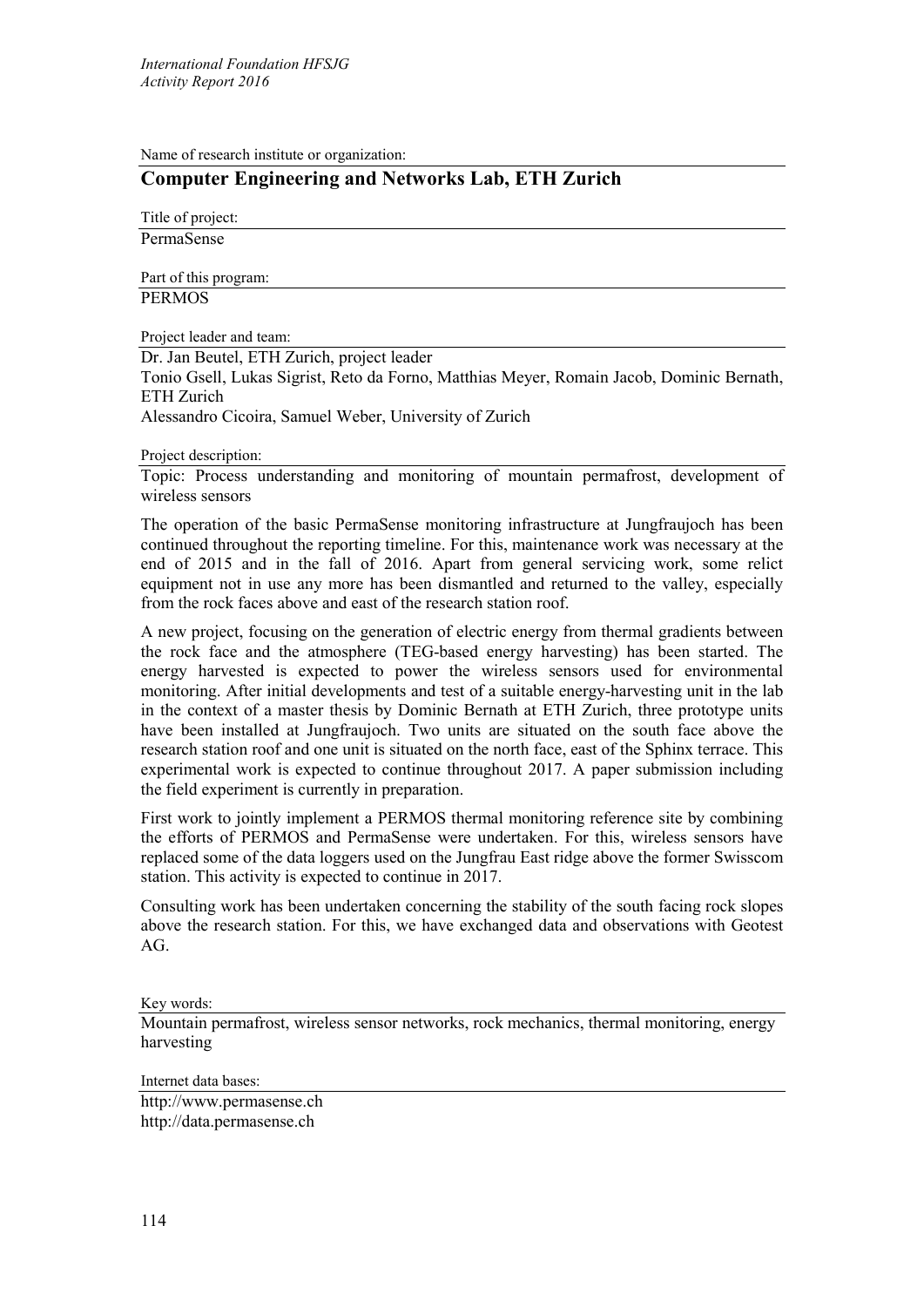Name of research institute or organization:

## **Computer Engineering and Networks Lab, ETH Zurich**

Title of project: PermaSense

Part of this program: **PERMOS** 

Project leader and team:

Dr. Jan Beutel, ETH Zurich, project leader

Tonio Gsell, Lukas Sigrist, Reto da Forno, Matthias Meyer, Romain Jacob, Dominic Bernath, ETH Zurich

Alessandro Cicoira, Samuel Weber, University of Zurich

## Project description:

Topic: Process understanding and monitoring of mountain permafrost, development of wireless sensors

The operation of the basic PermaSense monitoring infrastructure at Jungfraujoch has been continued throughout the reporting timeline. For this, maintenance work was necessary at the end of 2015 and in the fall of 2016. Apart from general servicing work, some relict equipment not in use any more has been dismantled and returned to the valley, especially from the rock faces above and east of the research station roof.

A new project, focusing on the generation of electric energy from thermal gradients between the rock face and the atmosphere (TEG-based energy harvesting) has been started. The energy harvested is expected to power the wireless sensors used for environmental monitoring. After initial developments and test of a suitable energy-harvesting unit in the lab in the context of a master thesis by Dominic Bernath at ETH Zurich, three prototype units have been installed at Jungfraujoch. Two units are situated on the south face above the research station roof and one unit is situated on the north face, east of the Sphinx terrace. This experimental work is expected to continue throughout 2017. A paper submission including the field experiment is currently in preparation.

First work to jointly implement a PERMOS thermal monitoring reference site by combining the efforts of PERMOS and PermaSense were undertaken. For this, wireless sensors have replaced some of the data loggers used on the Jungfrau East ridge above the former Swisscom station. This activity is expected to continue in 2017.

Consulting work has been undertaken concerning the stability of the south facing rock slopes above the research station. For this, we have exchanged data and observations with Geotest AG.

Key words:

Mountain permafrost, wireless sensor networks, rock mechanics, thermal monitoring, energy harvesting

Internet data bases:

http://www.permasense.ch http://data.permasense.ch